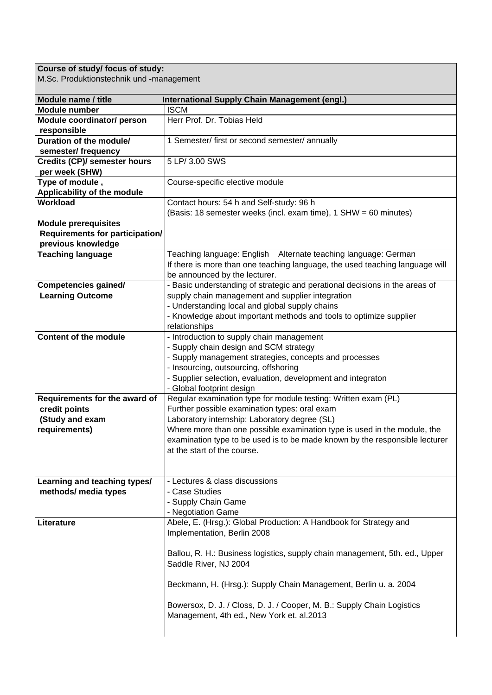## **Course of study/ focus of study:**

M.Sc. Produktionstechnik und -management

| Module name / title                    | <b>International Supply Chain Management (engl.)</b>                                                                                           |
|----------------------------------------|------------------------------------------------------------------------------------------------------------------------------------------------|
| <b>Module number</b>                   | <b>ISCM</b>                                                                                                                                    |
| Module coordinator/ person             | Herr Prof. Dr. Tobias Held                                                                                                                     |
| responsible                            |                                                                                                                                                |
| Duration of the module/                | 1 Semester/ first or second semester/ annually                                                                                                 |
| semester/ frequency                    |                                                                                                                                                |
| <b>Credits (CP)/ semester hours</b>    | 5 LP/ 3.00 SWS                                                                                                                                 |
| per week (SHW)                         |                                                                                                                                                |
| Type of module,                        | Course-specific elective module                                                                                                                |
| Applicability of the module            |                                                                                                                                                |
| Workload                               | Contact hours: 54 h and Self-study: 96 h                                                                                                       |
|                                        | (Basis: 18 semester weeks (incl. exam time), 1 SHW = 60 minutes)                                                                               |
| <b>Module prerequisites</b>            |                                                                                                                                                |
| <b>Requirements for participation/</b> |                                                                                                                                                |
| previous knowledge                     |                                                                                                                                                |
| <b>Teaching language</b>               | Teaching language: English Alternate teaching language: German<br>If there is more than one teaching language, the used teaching language will |
|                                        | be announced by the lecturer.                                                                                                                  |
| <b>Competencies gained/</b>            | - Basic understanding of strategic and perational decisions in the areas of                                                                    |
| <b>Learning Outcome</b>                | supply chain management and supplier integration                                                                                               |
|                                        | - Understanding local and global supply chains                                                                                                 |
|                                        | - Knowledge about important methods and tools to optimize supplier                                                                             |
|                                        | relationships                                                                                                                                  |
| <b>Content of the module</b>           | - Introduction to supply chain management                                                                                                      |
|                                        | - Supply chain design and SCM strategy                                                                                                         |
|                                        | - Supply management strategies, concepts and processes                                                                                         |
|                                        | - Insourcing, outsourcing, offshoring                                                                                                          |
|                                        | - Supplier selection, evaluation, development and integraton                                                                                   |
|                                        | - Global footprint design                                                                                                                      |
| Requirements for the award of          | Regular examination type for module testing: Written exam (PL)                                                                                 |
| credit points                          | Further possible examination types: oral exam                                                                                                  |
| (Study and exam                        | Laboratory internship: Laboratory degree (SL)                                                                                                  |
| requirements)                          | Where more than one possible examination type is used in the module, the                                                                       |
|                                        | examination type to be used is to be made known by the responsible lecturer                                                                    |
|                                        | at the start of the course.                                                                                                                    |
|                                        |                                                                                                                                                |
|                                        |                                                                                                                                                |
| Learning and teaching types/           | - Lectures & class discussions                                                                                                                 |
| methods/ media types                   | - Case Studies                                                                                                                                 |
|                                        | - Supply Chain Game                                                                                                                            |
|                                        | - Negotiation Game                                                                                                                             |
| Literature                             | Abele, E. (Hrsg.): Global Production: A Handbook for Strategy and                                                                              |
|                                        | Implementation, Berlin 2008                                                                                                                    |
|                                        |                                                                                                                                                |
|                                        | Ballou, R. H.: Business logistics, supply chain management, 5th. ed., Upper                                                                    |
|                                        | Saddle River, NJ 2004                                                                                                                          |
|                                        |                                                                                                                                                |
|                                        | Beckmann, H. (Hrsg.): Supply Chain Management, Berlin u. a. 2004                                                                               |
|                                        | Bowersox, D. J. / Closs, D. J. / Cooper, M. B.: Supply Chain Logistics                                                                         |
|                                        | Management, 4th ed., New York et. al.2013                                                                                                      |
|                                        |                                                                                                                                                |
|                                        |                                                                                                                                                |